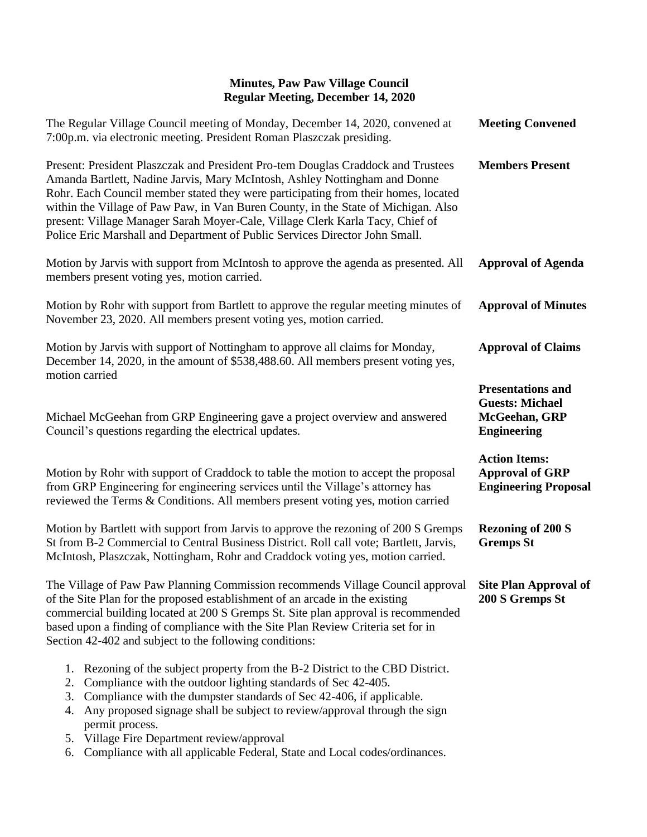| The Regular Village Council meeting of Monday, December 14, 2020, convened at<br>7:00p.m. via electronic meeting. President Roman Plaszczak presiding.                                                                                                                                                                                                                                                                                                                                                     | <b>Meeting Convened</b>                                                                   |
|------------------------------------------------------------------------------------------------------------------------------------------------------------------------------------------------------------------------------------------------------------------------------------------------------------------------------------------------------------------------------------------------------------------------------------------------------------------------------------------------------------|-------------------------------------------------------------------------------------------|
| Present: President Plaszczak and President Pro-tem Douglas Craddock and Trustees<br>Amanda Bartlett, Nadine Jarvis, Mary McIntosh, Ashley Nottingham and Donne<br>Rohr. Each Council member stated they were participating from their homes, located<br>within the Village of Paw Paw, in Van Buren County, in the State of Michigan. Also<br>present: Village Manager Sarah Moyer-Cale, Village Clerk Karla Tacy, Chief of<br>Police Eric Marshall and Department of Public Services Director John Small. | <b>Members Present</b>                                                                    |
| Motion by Jarvis with support from McIntosh to approve the agenda as presented. All<br>members present voting yes, motion carried.                                                                                                                                                                                                                                                                                                                                                                         | <b>Approval of Agenda</b>                                                                 |
| Motion by Rohr with support from Bartlett to approve the regular meeting minutes of<br>November 23, 2020. All members present voting yes, motion carried.                                                                                                                                                                                                                                                                                                                                                  | <b>Approval of Minutes</b>                                                                |
| Motion by Jarvis with support of Nottingham to approve all claims for Monday,<br>December 14, 2020, in the amount of \$538,488.60. All members present voting yes,<br>motion carried                                                                                                                                                                                                                                                                                                                       | <b>Approval of Claims</b>                                                                 |
| Michael McGeehan from GRP Engineering gave a project overview and answered<br>Council's questions regarding the electrical updates.                                                                                                                                                                                                                                                                                                                                                                        | <b>Presentations and</b><br><b>Guests: Michael</b><br>McGeehan, GRP<br><b>Engineering</b> |
| Motion by Rohr with support of Craddock to table the motion to accept the proposal<br>from GRP Engineering for engineering services until the Village's attorney has<br>reviewed the Terms & Conditions. All members present voting yes, motion carried                                                                                                                                                                                                                                                    | <b>Action Items:</b><br><b>Approval of GRP</b><br><b>Engineering Proposal</b>             |
| Motion by Bartlett with support from Jarvis to approve the rezoning of 200 S Gremps<br>St from B-2 Commercial to Central Business District. Roll call vote; Bartlett, Jarvis,<br>McIntosh, Plaszczak, Nottingham, Rohr and Craddock voting yes, motion carried.                                                                                                                                                                                                                                            | <b>Rezoning of 200 S</b><br><b>Gremps St</b>                                              |
| The Village of Paw Paw Planning Commission recommends Village Council approval Site Plan Approval of<br>of the Site Plan for the proposed establishment of an arcade in the existing<br>commercial building located at 200 S Gremps St. Site plan approval is recommended<br>based upon a finding of compliance with the Site Plan Review Criteria set for in<br>Section 42-402 and subject to the following conditions:                                                                                   | 200 S Gremps St                                                                           |
| 1. Rezoning of the subject property from the B-2 District to the CBD District.<br>Compliance with the outdoor lighting standards of Sec 42-405.<br>2.<br>Compliance with the dumpster standards of Sec 42-406, if applicable.<br>3.<br>Any proposed signage shall be subject to review/approval through the sign<br>4.<br>permit process.<br>5. Village Fire Department review/approval<br>6. Compliance with all applicable Federal, State and Local codes/ordinances.                                    |                                                                                           |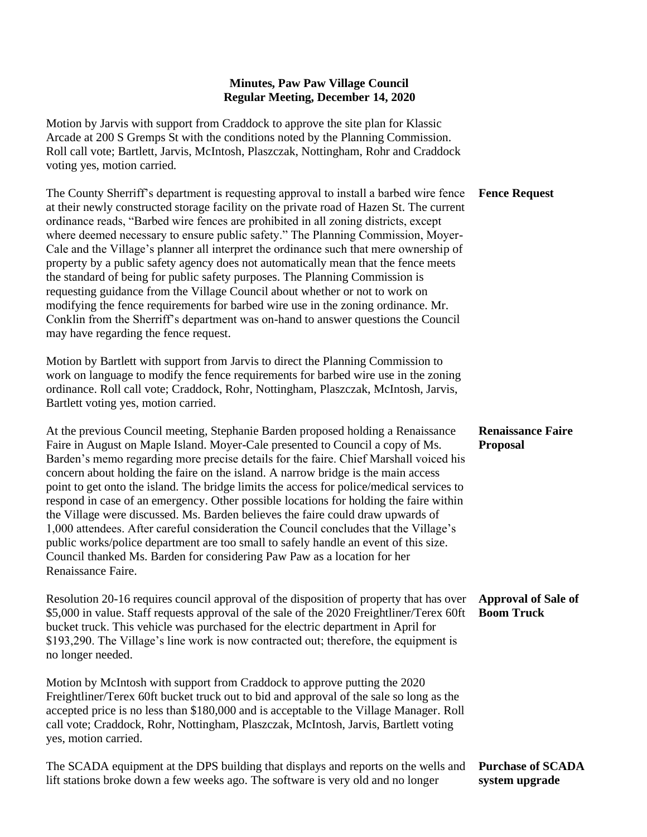Motion by Jarvis with support from Craddock to approve the site plan for Klassic Arcade at 200 S Gremps St with the conditions noted by the Planning Commission. Roll call vote; Bartlett, Jarvis, McIntosh, Plaszczak, Nottingham, Rohr and Craddock voting yes, motion carried.

The County Sherriff's department is requesting approval to install a barbed wire fence at their newly constructed storage facility on the private road of Hazen St. The current ordinance reads, "Barbed wire fences are prohibited in all zoning districts, except where deemed necessary to ensure public safety." The Planning Commission, Moyer-Cale and the Village's planner all interpret the ordinance such that mere ownership of property by a public safety agency does not automatically mean that the fence meets the standard of being for public safety purposes. The Planning Commission is requesting guidance from the Village Council about whether or not to work on modifying the fence requirements for barbed wire use in the zoning ordinance. Mr. Conklin from the Sherriff's department was on-hand to answer questions the Council may have regarding the fence request.

Motion by Bartlett with support from Jarvis to direct the Planning Commission to work on language to modify the fence requirements for barbed wire use in the zoning ordinance. Roll call vote; Craddock, Rohr, Nottingham, Plaszczak, McIntosh, Jarvis, Bartlett voting yes, motion carried.

At the previous Council meeting, Stephanie Barden proposed holding a Renaissance Faire in August on Maple Island. Moyer-Cale presented to Council a copy of Ms. Barden's memo regarding more precise details for the faire. Chief Marshall voiced his concern about holding the faire on the island. A narrow bridge is the main access point to get onto the island. The bridge limits the access for police/medical services to respond in case of an emergency. Other possible locations for holding the faire within the Village were discussed. Ms. Barden believes the faire could draw upwards of 1,000 attendees. After careful consideration the Council concludes that the Village's public works/police department are too small to safely handle an event of this size. Council thanked Ms. Barden for considering Paw Paw as a location for her Renaissance Faire.

Resolution 20-16 requires council approval of the disposition of property that has over \$5,000 in value. Staff requests approval of the sale of the 2020 Freightliner/Terex 60ft bucket truck. This vehicle was purchased for the electric department in April for \$193,290. The Village's line work is now contracted out; therefore, the equipment is no longer needed.

Motion by McIntosh with support from Craddock to approve putting the 2020 Freightliner/Terex 60ft bucket truck out to bid and approval of the sale so long as the accepted price is no less than \$180,000 and is acceptable to the Village Manager. Roll call vote; Craddock, Rohr, Nottingham, Plaszczak, McIntosh, Jarvis, Bartlett voting yes, motion carried.

| The SCADA equipment at the DPS building that displays and reports on the wells and Purchase of SCADA |                |
|------------------------------------------------------------------------------------------------------|----------------|
| lift stations broke down a few weeks ago. The software is very old and no longer                     | system upgrade |

**Fence Request**

#### **Renaissance Faire Proposal**

## **Approval of Sale of Boom Truck**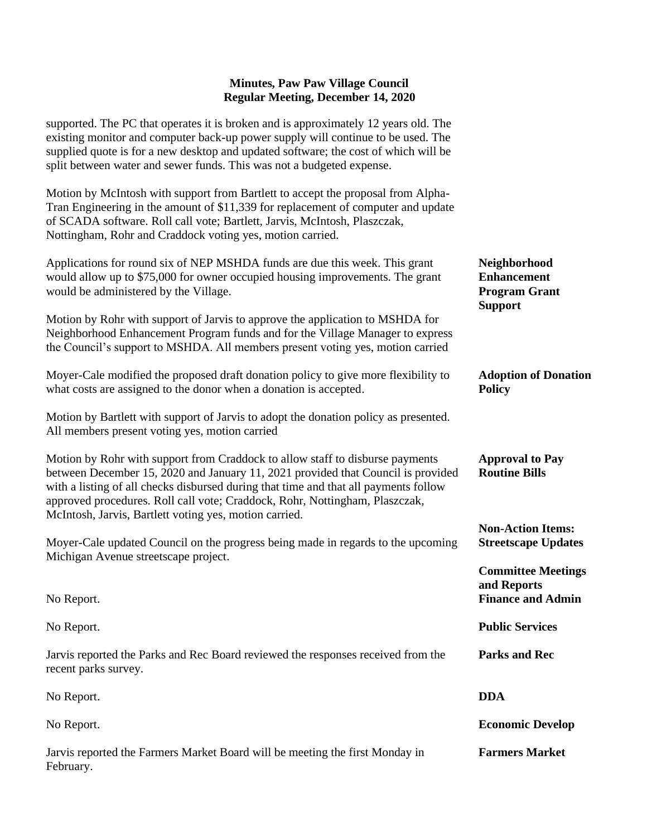supported. The PC that operates it is broken and is approximately 12 years old. The existing monitor and computer back-up power supply will continue to be used. The supplied quote is for a new desktop and updated software; the cost of which will be split between water and sewer funds. This was not a budgeted expense.

Motion by McIntosh with support from Bartlett to accept the proposal from Alpha-Tran Engineering in the amount of \$11,339 for replacement of computer and update of SCADA software. Roll call vote; Bartlett, Jarvis, McIntosh, Plaszczak, Nottingham, Rohr and Craddock voting yes, motion carried.

| Applications for round six of NEP MSHDA funds are due this week. This grant<br>would allow up to \$75,000 for owner occupied housing improvements. The grant<br>would be administered by the Village.                                                                                                                                                                                              | Neighborhood<br><b>Enhancement</b><br><b>Program Grant</b><br><b>Support</b> |
|----------------------------------------------------------------------------------------------------------------------------------------------------------------------------------------------------------------------------------------------------------------------------------------------------------------------------------------------------------------------------------------------------|------------------------------------------------------------------------------|
| Motion by Rohr with support of Jarvis to approve the application to MSHDA for<br>Neighborhood Enhancement Program funds and for the Village Manager to express<br>the Council's support to MSHDA. All members present voting yes, motion carried                                                                                                                                                   |                                                                              |
| Moyer-Cale modified the proposed draft donation policy to give more flexibility to<br>what costs are assigned to the donor when a donation is accepted.                                                                                                                                                                                                                                            | <b>Adoption of Donation</b><br><b>Policy</b>                                 |
| Motion by Bartlett with support of Jarvis to adopt the donation policy as presented.<br>All members present voting yes, motion carried                                                                                                                                                                                                                                                             |                                                                              |
| Motion by Rohr with support from Craddock to allow staff to disburse payments<br>between December 15, 2020 and January 11, 2021 provided that Council is provided<br>with a listing of all checks disbursed during that time and that all payments follow<br>approved procedures. Roll call vote; Craddock, Rohr, Nottingham, Plaszczak,<br>McIntosh, Jarvis, Bartlett voting yes, motion carried. | <b>Approval to Pay</b><br><b>Routine Bills</b>                               |
| Moyer-Cale updated Council on the progress being made in regards to the upcoming<br>Michigan Avenue streetscape project.                                                                                                                                                                                                                                                                           | <b>Non-Action Items:</b><br><b>Streetscape Updates</b>                       |
| No Report.                                                                                                                                                                                                                                                                                                                                                                                         | <b>Committee Meetings</b><br>and Reports<br><b>Finance and Admin</b>         |
| No Report.                                                                                                                                                                                                                                                                                                                                                                                         | <b>Public Services</b>                                                       |
| Jarvis reported the Parks and Rec Board reviewed the responses received from the<br>recent parks survey.                                                                                                                                                                                                                                                                                           | <b>Parks and Rec</b>                                                         |
| No Report.                                                                                                                                                                                                                                                                                                                                                                                         | <b>DDA</b>                                                                   |
| No Report.                                                                                                                                                                                                                                                                                                                                                                                         | <b>Economic Develop</b>                                                      |
| Jarvis reported the Farmers Market Board will be meeting the first Monday in<br>February.                                                                                                                                                                                                                                                                                                          | <b>Farmers Market</b>                                                        |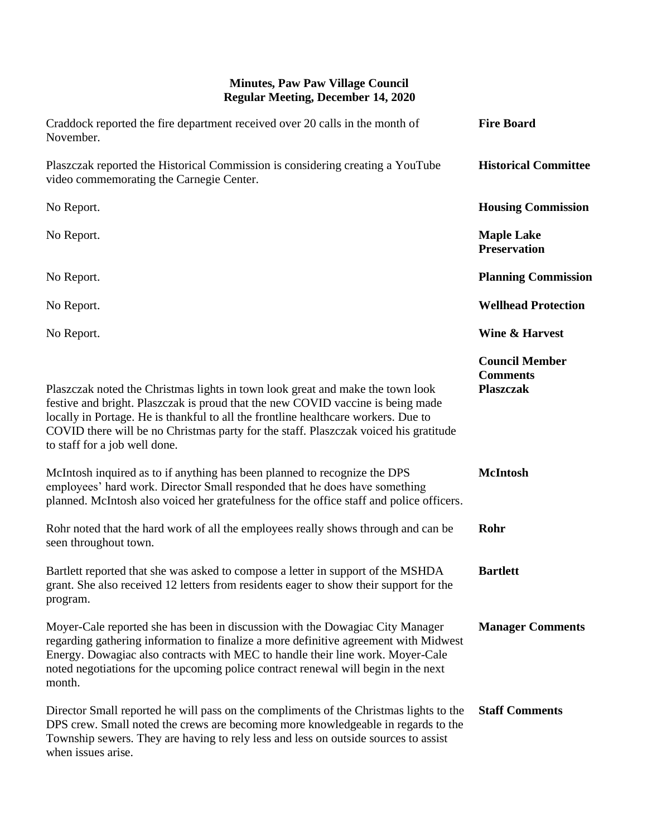| Craddock reported the fire department received over 20 calls in the month of<br>November.                                                                                                                                                                                                                                                                                        | <b>Fire Board</b>                                            |
|----------------------------------------------------------------------------------------------------------------------------------------------------------------------------------------------------------------------------------------------------------------------------------------------------------------------------------------------------------------------------------|--------------------------------------------------------------|
| Plaszczak reported the Historical Commission is considering creating a YouTube<br>video commemorating the Carnegie Center.                                                                                                                                                                                                                                                       | <b>Historical Committee</b>                                  |
| No Report.                                                                                                                                                                                                                                                                                                                                                                       | <b>Housing Commission</b>                                    |
| No Report.                                                                                                                                                                                                                                                                                                                                                                       | <b>Maple Lake</b><br><b>Preservation</b>                     |
| No Report.                                                                                                                                                                                                                                                                                                                                                                       | <b>Planning Commission</b>                                   |
| No Report.                                                                                                                                                                                                                                                                                                                                                                       | <b>Wellhead Protection</b>                                   |
| No Report.                                                                                                                                                                                                                                                                                                                                                                       | <b>Wine &amp; Harvest</b>                                    |
| Plaszczak noted the Christmas lights in town look great and make the town look<br>festive and bright. Plaszczak is proud that the new COVID vaccine is being made<br>locally in Portage. He is thankful to all the frontline healthcare workers. Due to<br>COVID there will be no Christmas party for the staff. Plaszczak voiced his gratitude<br>to staff for a job well done. | <b>Council Member</b><br><b>Comments</b><br><b>Plaszczak</b> |
| McIntosh inquired as to if anything has been planned to recognize the DPS<br>employees' hard work. Director Small responded that he does have something<br>planned. McIntosh also voiced her gratefulness for the office staff and police officers.                                                                                                                              | <b>McIntosh</b>                                              |
| Rohr noted that the hard work of all the employees really shows through and can be<br>seen throughout town.                                                                                                                                                                                                                                                                      | Rohr                                                         |
| Bartlett reported that she was asked to compose a letter in support of the MSHDA<br>grant. She also received 12 letters from residents eager to show their support for the<br>program.                                                                                                                                                                                           | <b>Bartlett</b>                                              |
| Moyer-Cale reported she has been in discussion with the Dowagiac City Manager<br>regarding gathering information to finalize a more definitive agreement with Midwest<br>Energy. Dowagiac also contracts with MEC to handle their line work. Moyer-Cale<br>noted negotiations for the upcoming police contract renewal will begin in the next<br>month.                          | <b>Manager Comments</b>                                      |
| Director Small reported he will pass on the compliments of the Christmas lights to the<br>DPS crew. Small noted the crews are becoming more knowledgeable in regards to the<br>Township sewers. They are having to rely less and less on outside sources to assist<br>when issues arise.                                                                                         | <b>Staff Comments</b>                                        |